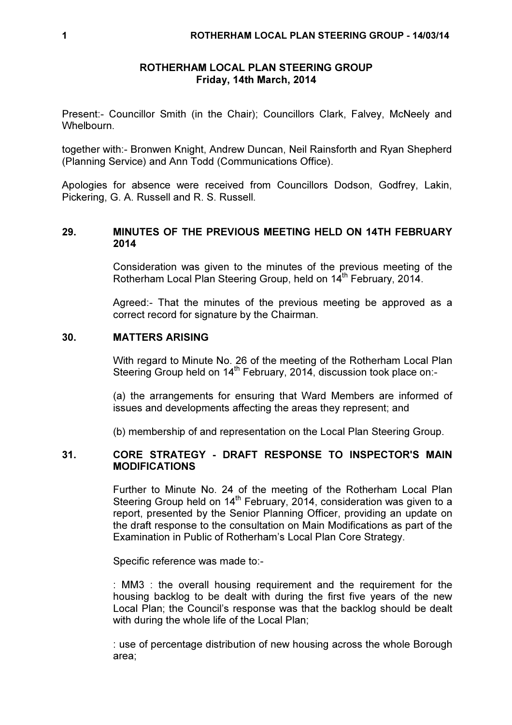## ROTHERHAM LOCAL PLAN STEERING GROUP Friday, 14th March, 2014

Present:- Councillor Smith (in the Chair); Councillors Clark, Falvey, McNeely and Whelbourn.

together with:- Bronwen Knight, Andrew Duncan, Neil Rainsforth and Ryan Shepherd (Planning Service) and Ann Todd (Communications Office).

Apologies for absence were received from Councillors Dodson, Godfrey, Lakin, Pickering, G. A. Russell and R. S. Russell.

# 29. MINUTES OF THE PREVIOUS MEETING HELD ON 14TH FEBRUARY 2014

Consideration was given to the minutes of the previous meeting of the Rotherham Local Plan Steering Group, held on 14<sup>th</sup> February, 2014.

Agreed:- That the minutes of the previous meeting be approved as a correct record for signature by the Chairman.

## 30. MATTERS ARISING

With regard to Minute No. 26 of the meeting of the Rotherham Local Plan Steering Group held on 14<sup>th</sup> February, 2014, discussion took place on:-

(a) the arrangements for ensuring that Ward Members are informed of issues and developments affecting the areas they represent; and

(b) membership of and representation on the Local Plan Steering Group.

# 31. CORE STRATEGY - DRAFT RESPONSE TO INSPECTOR'S MAIN **MODIFICATIONS**

Further to Minute No. 24 of the meeting of the Rotherham Local Plan Steering Group held on 14<sup>th</sup> February, 2014, consideration was given to a report, presented by the Senior Planning Officer, providing an update on the draft response to the consultation on Main Modifications as part of the Examination in Public of Rotherham's Local Plan Core Strategy.

Specific reference was made to:-

: MM3 : the overall housing requirement and the requirement for the housing backlog to be dealt with during the first five years of the new Local Plan; the Council's response was that the backlog should be dealt with during the whole life of the Local Plan;

: use of percentage distribution of new housing across the whole Borough area;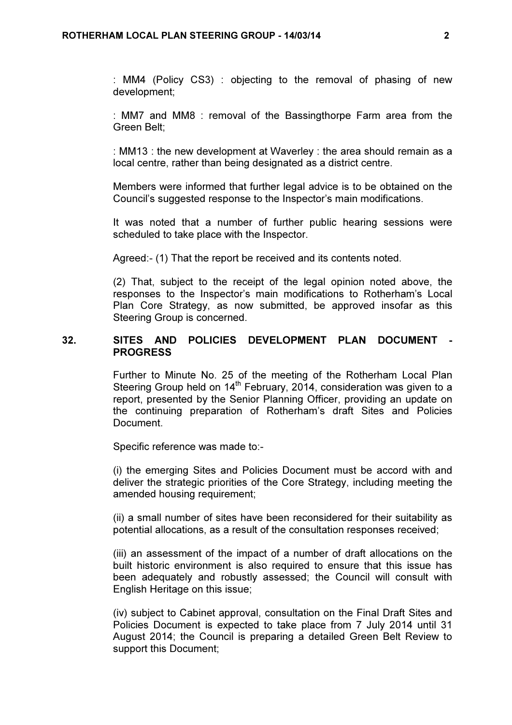: MM4 (Policy CS3) : objecting to the removal of phasing of new development;

: MM7 and MM8 : removal of the Bassingthorpe Farm area from the Green Belt;

: MM13 : the new development at Waverley : the area should remain as a local centre, rather than being designated as a district centre.

Members were informed that further legal advice is to be obtained on the Council's suggested response to the Inspector's main modifications.

It was noted that a number of further public hearing sessions were scheduled to take place with the Inspector.

Agreed:- (1) That the report be received and its contents noted.

(2) That, subject to the receipt of the legal opinion noted above, the responses to the Inspector's main modifications to Rotherham's Local Plan Core Strategy, as now submitted, be approved insofar as this Steering Group is concerned.

## 32. SITES AND POLICIES DEVELOPMENT PLAN DOCUMENT - PROGRESS

Further to Minute No. 25 of the meeting of the Rotherham Local Plan Steering Group held on  $14<sup>th</sup>$  February, 2014, consideration was given to a report, presented by the Senior Planning Officer, providing an update on the continuing preparation of Rotherham's draft Sites and Policies Document.

Specific reference was made to:-

(i) the emerging Sites and Policies Document must be accord with and deliver the strategic priorities of the Core Strategy, including meeting the amended housing requirement;

(ii) a small number of sites have been reconsidered for their suitability as potential allocations, as a result of the consultation responses received;

(iii) an assessment of the impact of a number of draft allocations on the built historic environment is also required to ensure that this issue has been adequately and robustly assessed; the Council will consult with English Heritage on this issue;

(iv) subject to Cabinet approval, consultation on the Final Draft Sites and Policies Document is expected to take place from 7 July 2014 until 31 August 2014; the Council is preparing a detailed Green Belt Review to support this Document;